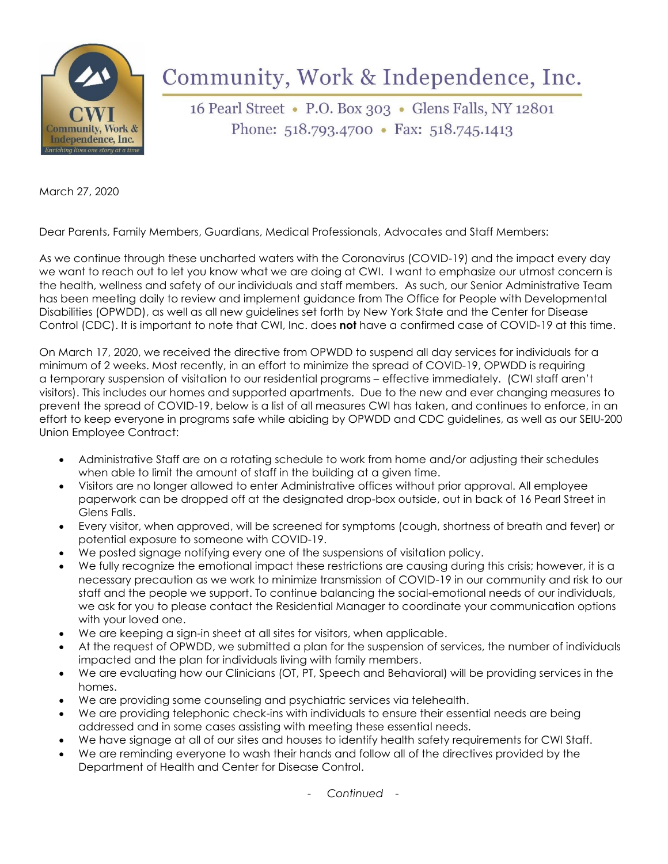

## Community, Work & Independence, Inc.

16 Pearl Street • P.O. Box 303 • Glens Falls, NY 12801 Phone:  $518.793.4700 \cdot \text{Fax: } 518.745.1413$ 

March 27, 2020

Dear Parents, Family Members, Guardians, Medical Professionals, Advocates and Staff Members:

As we continue through these uncharted waters with the Coronavirus (COVID-19) and the impact every day we want to reach out to let you know what we are doing at CWI. I want to emphasize our utmost concern is the health, wellness and safety of our individuals and staff members. As such, our Senior Administrative Team has been meeting daily to review and implement guidance from The Office for People with Developmental Disabilities (OPWDD), as well as all new guidelines set forth by New York State and the Center for Disease Control (CDC). It is important to note that CWI, Inc. does **not** have a confirmed case of COVID-19 at this time.

On March 17, 2020, we received the directive from OPWDD to suspend all day services for individuals for a minimum of 2 weeks. Most recently, in an effort to minimize the spread of COVID-19, OPWDD is requiring a temporary suspension of visitation to our residential programs – effective immediately. (CWI staff aren't visitors). This includes our homes and supported apartments. Due to the new and ever changing measures to prevent the spread of COVID-19, below is a list of all measures CWI has taken, and continues to enforce, in an effort to keep everyone in programs safe while abiding by OPWDD and CDC guidelines, as well as our SEIU-200 Union Employee Contract:

- Administrative Staff are on a rotating schedule to work from home and/or adjusting their schedules when able to limit the amount of staff in the building at a given time.
- Visitors are no longer allowed to enter Administrative offices without prior approval. All employee paperwork can be dropped off at the designated drop-box outside, out in back of 16 Pearl Street in Glens Falls.
- Every visitor, when approved, will be screened for symptoms (cough, shortness of breath and fever) or potential exposure to someone with COVID-19.
- We posted signage notifying every one of the suspensions of visitation policy.
- We fully recognize the emotional impact these restrictions are causing during this crisis; however, it is a necessary precaution as we work to minimize transmission of COVID-19 in our community and risk to our staff and the people we support. To continue balancing the social-emotional needs of our individuals, we ask for you to please contact the Residential Manager to coordinate your communication options with your loved one.
- We are keeping a sign-in sheet at all sites for visitors, when applicable.
- At the request of OPWDD, we submitted a plan for the suspension of services, the number of individuals impacted and the plan for individuals living with family members.
- We are evaluating how our Clinicians (OT, PT, Speech and Behavioral) will be providing services in the homes.
- We are providing some counseling and psychiatric services via telehealth.
- We are providing telephonic check-ins with individuals to ensure their essential needs are being addressed and in some cases assisting with meeting these essential needs.
- We have signage at all of our sites and houses to identify health safety requirements for CWI Staff.
- We are reminding everyone to wash their hands and follow all of the directives provided by the Department of Health and Center for Disease Control.

- *Continued -*